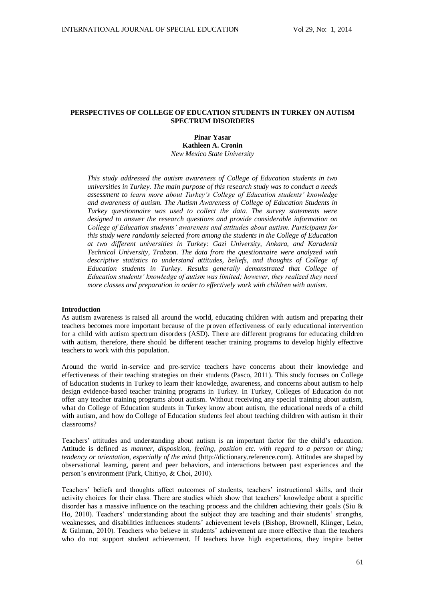# **PERSPECTIVES OF COLLEGE OF EDUCATION STUDENTS IN TURKEY ON AUTISM SPECTRUM DISORDERS**

**Pinar Yasar Kathleen A. Cronin** *New Mexico State University*

*This study addressed the autism awareness of College of Education students in two universities in Turkey. The main purpose of this research study was to conduct a needs assessment to learn more about Turkey's College of Education students' knowledge and awareness of autism. The Autism Awareness of College of Education Students in Turkey questionnaire was used to collect the data. The survey statements were designed to answer the research questions and provide considerable information on College of Education students' awareness and attitudes about autism. Participants for this study were randomly selected from among the students in the College of Education at two different universities in Turkey: Gazi University, Ankara, and Karadeniz Technical University, Trabzon. The data from the questionnaire were analyzed with descriptive statistics to understand attitudes, beliefs, and thoughts of College of Education students in Turkey. Results generally demonstrated that College of Education students' knowledge of autism was limited; however, they realized they need more classes and preparation in order to effectively work with children with autism.*

#### **Introduction**

As autism awareness is raised all around the world, educating children with autism and preparing their teachers becomes more important because of the proven effectiveness of early educational intervention for a child with autism spectrum disorders (ASD). There are different programs for educating children with autism, therefore, there should be different teacher training programs to develop highly effective teachers to work with this population.

Around the world in-service and pre-service teachers have concerns about their knowledge and effectiveness of their teaching strategies on their students (Pasco, 2011). This study focuses on College of Education students in Turkey to learn their knowledge, awareness, and concerns about autism to help design evidence-based teacher training programs in Turkey. In Turkey, Colleges of Education do not offer any teacher training programs about autism. Without receiving any special training about autism, what do College of Education students in Turkey know about autism, the educational needs of a child with autism, and how do College of Education students feel about teaching children with autism in their classrooms?

Teachers' attitudes and understanding about autism is an important factor for the child's education. Attitude is defined as *manner, disposition, feeling, position etc. with regard to a person or thing; tendency or orientation, especially of the mind* (http://dictionary.reference.com). Attitudes are shaped by observational learning, parent and peer behaviors, and interactions between past experiences and the person's environment (Park, Chitiyo, & Choi, 2010).

Teachers' beliefs and thoughts affect outcomes of students, teachers' instructional skills, and their activity choices for their class. There are studies which show that teachers' knowledge about a specific disorder has a massive influence on the teaching process and the children achieving their goals (Siu & Ho, 2010). Teachers' understanding about the subject they are teaching and their students' strengths, weaknesses, and disabilities influences students' achievement levels (Bishop, Brownell, Klinger, Leko, & Galman, 2010). Teachers who believe in students' achievement are more effective than the teachers who do not support student achievement. If teachers have high expectations, they inspire better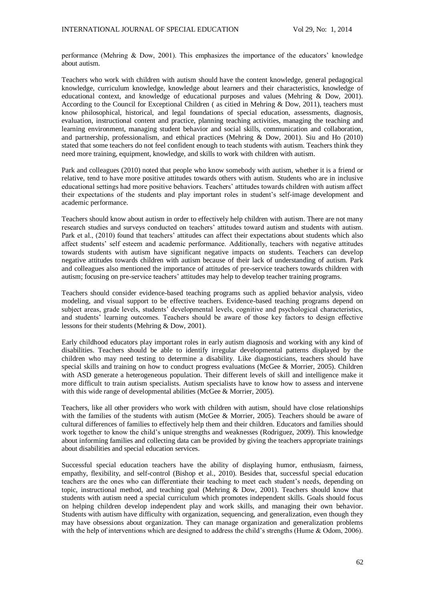performance (Mehring & Dow, 2001). This emphasizes the importance of the educators' knowledge about autism.

Teachers who work with children with autism should have the content knowledge, general pedagogical knowledge, curriculum knowledge, knowledge about learners and their characteristics, knowledge of educational context, and knowledge of educational purposes and values (Mehring & Dow, 2001). According to the Council for Exceptional Children ( as citied in Mehring & Dow, 2011), teachers must know philosophical, historical, and legal foundations of special education, assessments, diagnosis, evaluation, instructional content and practice, planning teaching activities, managing the teaching and learning environment, managing student behavior and social skills, communication and collaboration, and partnership, professionalism, and ethical practices (Mehring & Dow, 2001). Siu and Ho (2010) stated that some teachers do not feel confident enough to teach students with autism. Teachers think they need more training, equipment, knowledge, and skills to work with children with autism.

Park and colleagues (2010) noted that people who know somebody with autism, whether it is a friend or relative, tend to have more positive attitudes towards others with autism. Students who are in inclusive educational settings had more positive behaviors. Teachers' attitudes towards children with autism affect their expectations of the students and play important roles in student's self-image development and academic performance.

Teachers should know about autism in order to effectively help children with autism. There are not many research studies and surveys conducted on teachers' attitudes toward autism and students with autism. Park et al., (2010) found that teachers' attitudes can affect their expectations about students which also affect students' self esteem and academic performance. Additionally, teachers with negative attitudes towards students with autism have significant negative impacts on students. Teachers can develop negative attitudes towards children with autism because of their lack of understanding of autism. Park and colleagues also mentioned the importance of attitudes of pre-service teachers towards children with autism; focusing on pre-service teachers' attitudes may help to develop teacher training programs.

Teachers should consider evidence-based teaching programs such as applied behavior analysis, video modeling, and visual support to be effective teachers. Evidence-based teaching programs depend on subject areas, grade levels, students' developmental levels, cognitive and psychological characteristics, and students' learning outcomes. Teachers should be aware of those key factors to design effective lessons for their students (Mehring & Dow, 2001).

Early childhood educators play important roles in early autism diagnosis and working with any kind of disabilities. Teachers should be able to identify irregular developmental patterns displayed by the children who may need testing to determine a disability. Like diagnosticians, teachers should have special skills and training on how to conduct progress evaluations (McGee & Morrier, 2005). Children with ASD generate a heterogeneous population. Their different levels of skill and intelligence make it more difficult to train autism specialists. Autism specialists have to know how to assess and intervene with this wide range of developmental abilities (McGee & Morrier, 2005).

Teachers, like all other providers who work with children with autism, should have close relationships with the families of the students with autism (McGee & Morrier, 2005). Teachers should be aware of cultural differences of families to effectively help them and their children. Educators and families should work together to know the child's unique strengths and weaknesses (Rodriguez, 2009). This knowledge about informing families and collecting data can be provided by giving the teachers appropriate trainings about disabilities and special education services.

Successful special education teachers have the ability of displaying humor, enthusiasm, fairness, empathy, flexibility, and self-control (Bishop et al., 2010). Besides that, successful special education teachers are the ones who can differentiate their teaching to meet each student's needs, depending on topic, instructional method, and teaching goal (Mehring & Dow, 2001). Teachers should know that students with autism need a special curriculum which promotes independent skills. Goals should focus on helping children develop independent play and work skills, and managing their own behavior. Students with autism have difficulty with organization, sequencing, and generalization, even though they may have obsessions about organization. They can manage organization and generalization problems with the help of interventions which are designed to address the child's strengths (Hume & Odom, 2006).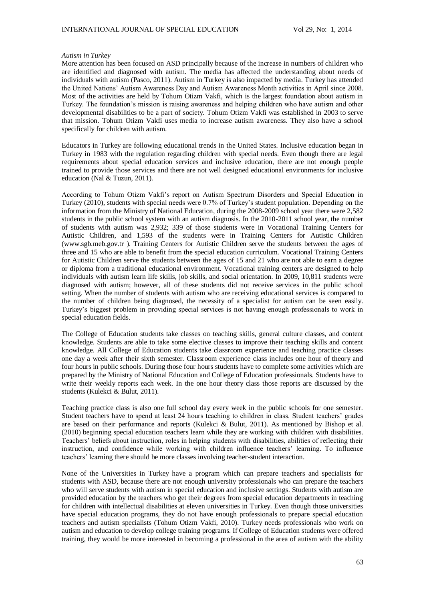## *Autism in Turkey*

More attention has been focused on ASD principally because of the increase in numbers of children who are identified and diagnosed with autism. The media has affected the understanding about needs of individuals with autism (Pasco, 2011). Autism in Turkey is also impacted by media. Turkey has attended the United Nations' Autism Awareness Day and Autism Awareness Month activities in April since 2008. Most of the activities are held by Tohum Otizm Vakfi, which is the largest foundation about autism in Turkey. The foundation's mission is raising awareness and helping children who have autism and other developmental disabilities to be a part of society. Tohum Otizm Vakfi was established in 2003 to serve that mission. Tohum Otizm Vakfi uses media to increase autism awareness. They also have a school specifically for children with autism.

Educators in Turkey are following educational trends in the United States. Inclusive education began in Turkey in 1983 with the regulation regarding children with special needs. Even though there are legal requirements about special education services and inclusive education, there are not enough people trained to provide those services and there are not well designed educational environments for inclusive education (Nal & Tuzun, 2011).

According to Tohum Otizm Vakfi's report on Autism Spectrum Disorders and Special Education in Turkey (2010), students with special needs were 0.7% of Turkey's student population. Depending on the information from the Ministry of National Education, during the 2008-2009 school year there were 2,582 students in the public school system with an autism diagnosis. In the 2010-2011 school year, the number of students with autism was 2,932; 339 of those students were in Vocational Training Centers for Autistic Children, and 1,593 of the students were in Training Centers for Autistic Children (www.sgb.meb.gov.tr ). Training Centers for Autistic Children serve the students between the ages of three and 15 who are able to benefit from the special education curriculum. Vocational Training Centers for Autistic Children serve the students between the ages of 15 and 21 who are not able to earn a degree or diploma from a traditional educational environment. Vocational training centers are designed to help individuals with autism learn life skills, job skills, and social orientation. In 2009, 10,811 students were diagnosed with autism; however, all of these students did not receive services in the public school setting. When the number of students with autism who are receiving educational services is compared to the number of children being diagnosed, the necessity of a specialist for autism can be seen easily. Turkey's biggest problem in providing special services is not having enough professionals to work in special education fields.

The College of Education students take classes on teaching skills, general culture classes, and content knowledge. Students are able to take some elective classes to improve their teaching skills and content knowledge. All College of Education students take classroom experience and teaching practice classes one day a week after their sixth semester. Classroom experience class includes one hour of theory and four hours in public schools. During those four hours students have to complete some activities which are prepared by the Ministry of National Education and College of Education professionals. Students have to write their weekly reports each week. In the one hour theory class those reports are discussed by the students (Kulekci & Bulut, 2011).

Teaching practice class is also one full school day every week in the public schools for one semester. Student teachers have to spend at least 24 hours teaching to children in class. Student teachers' grades are based on their performance and reports (Kulekci & Bulut, 2011). As mentioned by Bishop et al. (2010) beginning special education teachers learn while they are working with children with disabilities. Teachers' beliefs about instruction, roles in helping students with disabilities, abilities of reflecting their instruction, and confidence while working with children influence teachers' learning. To influence teachers' learning there should be more classes involving teacher-student interaction.

None of the Universities in Turkey have a program which can prepare teachers and specialists for students with ASD, because there are not enough university professionals who can prepare the teachers who will serve students with autism in special education and inclusive settings. Students with autism are provided education by the teachers who get their degrees from special education departments in teaching for children with intellectual disabilities at eleven universities in Turkey. Even though those universities have special education programs, they do not have enough professionals to prepare special education teachers and autism specialists (Tohum Otizm Vakfi, 2010). Turkey needs professionals who work on autism and education to develop college training programs. If College of Education students were offered training, they would be more interested in becoming a professional in the area of autism with the ability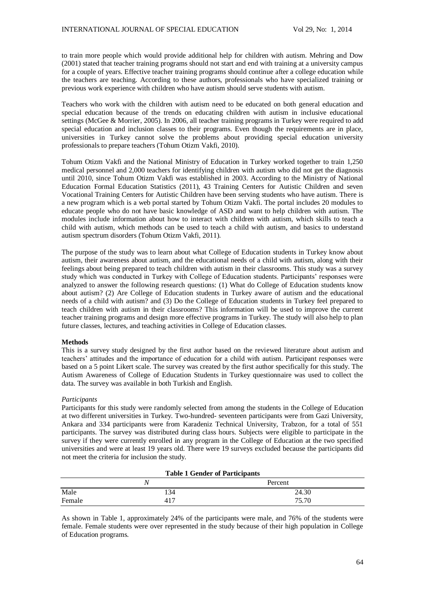to train more people which would provide additional help for children with autism. Mehring and Dow (2001) stated that teacher training programs should not start and end with training at a university campus for a couple of years. Effective teacher training programs should continue after a college education while the teachers are teaching. According to these authors, professionals who have specialized training or previous work experience with children who have autism should serve students with autism.

Teachers who work with the children with autism need to be educated on both general education and special education because of the trends on educating children with autism in inclusive educational settings (McGee & Morrier, 2005). In 2006, all teacher training programs in Turkey were required to add special education and inclusion classes to their programs. Even though the requirements are in place, universities in Turkey cannot solve the problems about providing special education university professionals to prepare teachers (Tohum Otizm Vakfi, 2010).

Tohum Otizm Vakfi and the National Ministry of Education in Turkey worked together to train 1,250 medical personnel and 2,000 teachers for identifying children with autism who did not get the diagnosis until 2010, since Tohum Otizm Vakfi was established in 2003. According to the Ministry of National Education Formal Education Statistics (2011), 43 Training Centers for Autistic Children and seven Vocational Training Centers for Autistic Children have been serving students who have autism. There is a new program which is a web portal started by Tohum Otizm Vakfi. The portal includes 20 modules to educate people who do not have basic knowledge of ASD and want to help children with autism. The modules include information about how to interact with children with autism, which skills to teach a child with autism, which methods can be used to teach a child with autism, and basics to understand autism spectrum disorders (Tohum Otizm Vakfi, 2011).

The purpose of the study was to learn about what College of Education students in Turkey know about autism, their awareness about autism, and the educational needs of a child with autism, along with their feelings about being prepared to teach children with autism in their classrooms. This study was a survey study which was conducted in Turkey with College of Education students. Participants' responses were analyzed to answer the following research questions: (1) What do College of Education students know about autism? (2) Are College of Education students in Turkey aware of autism and the educational needs of a child with autism? and (3) Do the College of Education students in Turkey feel prepared to teach children with autism in their classrooms? This information will be used to improve the current teacher training programs and design more effective programs in Turkey. The study will also help to plan future classes, lectures, and teaching activities in College of Education classes.

# **Methods**

This is a survey study designed by the first author based on the reviewed literature about autism and teachers' attitudes and the importance of education for a child with autism. Participant responses were based on a 5 point Likert scale. The survey was created by the first author specifically for this study. The Autism Awareness of College of Education Students in Turkey questionnaire was used to collect the data. The survey was available in both Turkish and English.

# *Participants*

Participants for this study were randomly selected from among the students in the College of Education at two different universities in Turkey. Two-hundred- seventeen participants were from Gazi University, Ankara and 334 participants were from Karadeniz Technical University, Trabzon, for a total of 551 participants. The survey was distributed during class hours. Subjects were eligible to participate in the survey if they were currently enrolled in any program in the College of Education at the two specified universities and were at least 19 years old. There were 19 surveys excluded because the participants did not meet the criteria for inclusion the study.

| <b>Table 1 Gender of Participants</b> |     |         |  |  |  |
|---------------------------------------|-----|---------|--|--|--|
|                                       |     | Percent |  |  |  |
| Male                                  | 134 | 24.30   |  |  |  |
| Female                                | 417 | 75.70   |  |  |  |

As shown in Table 1, approximately 24% of the participants were male, and 76% of the students were female. Female students were over represented in the study because of their high population in College of Education programs.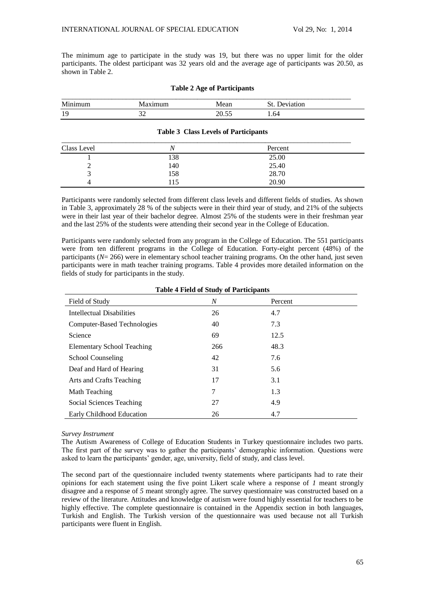The minimum age to participate in the study was 19, but there was no upper limit for the older participants. The oldest participant was 32 years old and the average age of participants was 20.50, as shown in Table 2.

| _____________________ |          |      | _______<br>________ |
|-----------------------|----------|------|---------------------|
| $\mathbf{r}$          |          | ۱۵۵۲ | ωn                  |
| ч<br>.                | ົ<br>ے ر | ∠∪.J | 1.64                |

# **Table 2 Age of Participants**

## **Table 3 Class Levels of Participants**

| Class Level |     | Percent |  |
|-------------|-----|---------|--|
|             | 138 | 25.00   |  |
|             | 140 | 25.40   |  |
|             | 158 | 28.70   |  |
|             | 115 | 20.90   |  |

Participants were randomly selected from different class levels and different fields of studies. As shown in Table 3, approximately 28 % of the subjects were in their third year of study, and 21% of the subjects were in their last year of their bachelor degree. Almost 25% of the students were in their freshman year and the last 25% of the students were attending their second year in the College of Education.

Participants were randomly selected from any program in the College of Education. The 551 participants were from ten different programs in the College of Education. Forty-eight percent (48%) of the participants (*N*= 266) were in elementary school teacher training programs. On the other hand, just seven participants were in math teacher training programs. Table 4 provides more detailed information on the fields of study for participants in the study.

# **Table 4 Field of Study of Participants**

| Field of Study              | N   | Percent |
|-----------------------------|-----|---------|
| Intellectual Disabilities   | 26  | 4.7     |
| Computer-Based Technologies | 40  | 7.3     |
| Science                     | 69  | 12.5    |
| Elementary School Teaching  | 266 | 48.3    |
| School Counseling           | 42  | 7.6     |
| Deaf and Hard of Hearing    | 31  | 5.6     |
| Arts and Crafts Teaching    | 17  | 3.1     |
| Math Teaching               | 7   | 1.3     |
| Social Sciences Teaching    | 27  | 4.9     |
| Early Childhood Education   | 26  | 4.7     |

# *Survey Instrument*

The Autism Awareness of College of Education Students in Turkey questionnaire includes two parts. The first part of the survey was to gather the participants' demographic information. Questions were asked to learn the participants' gender, age, university, field of study, and class level.

The second part of the questionnaire included twenty statements where participants had to rate their opinions for each statement using the five point Likert scale where a response of *1* meant strongly disagree and a response of *5* meant strongly agree. The survey questionnaire was constructed based on a review of the literature. Attitudes and knowledge of autism were found highly essential for teachers to be highly effective. The complete questionnaire is contained in the Appendix section in both languages, Turkish and English. The Turkish version of the questionnaire was used because not all Turkish participants were fluent in English.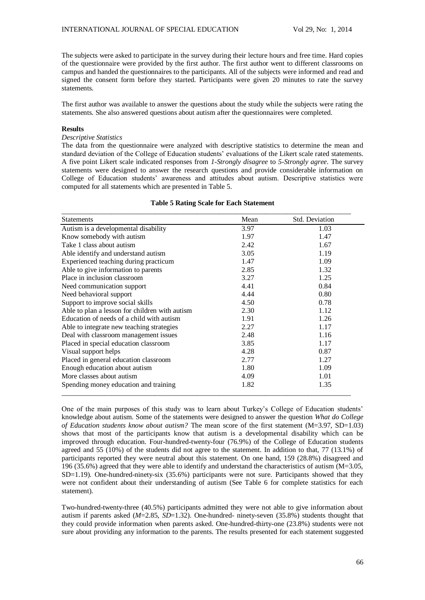The subjects were asked to participate in the survey during their lecture hours and free time. Hard copies of the questionnaire were provided by the first author. The first author went to different classrooms on campus and handed the questionnaires to the participants. All of the subjects were informed and read and signed the consent form before they started. Participants were given 20 minutes to rate the survey statements.

The first author was available to answer the questions about the study while the subjects were rating the statements. She also answered questions about autism after the questionnaires were completed.

#### **Results**

# *Descriptive Statistics*

The data from the questionnaire were analyzed with descriptive statistics to determine the mean and standard deviation of the College of Education students' evaluations of the Likert scale rated statements. A five point Likert scale indicated responses from *1-Strongly disagree* to *5-Strongly agree*. The survey statements were designed to answer the research questions and provide considerable information on College of Education students' awareness and attitudes about autism. Descriptive statistics were computed for all statements which are presented in Table 5.

# **Table 5 Rating Scale for Each Statement**

| <b>Statements</b>                              | Mean | <b>Std. Deviation</b> |
|------------------------------------------------|------|-----------------------|
| Autism is a developmental disability           | 3.97 | 1.03                  |
| Know somebody with autism                      | 1.97 | 1.47                  |
| Take 1 class about autism                      | 2.42 | 1.67                  |
| Able identify and understand autism            | 3.05 | 1.19                  |
| Experienced teaching during practicum          | 1.47 | 1.09                  |
| Able to give information to parents            | 2.85 | 1.32                  |
| Place in inclusion classroom                   | 3.27 | 1.25                  |
| Need communication support                     | 4.41 | 0.84                  |
| Need behavioral support                        | 4.44 | 0.80                  |
| Support to improve social skills               | 4.50 | 0.78                  |
| Able to plan a lesson for children with autism | 2.30 | 1.12                  |
| Education of needs of a child with autism      | 1.91 | 1.26                  |
| Able to integrate new teaching strategies      | 2.27 | 1.17                  |
| Deal with classroom management issues          | 2.48 | 1.16                  |
| Placed in special education classroom          | 3.85 | 1.17                  |
| Visual support helps                           | 4.28 | 0.87                  |
| Placed in general education classroom          | 2.77 | 1.27                  |
| Enough education about autism                  | 1.80 | 1.09                  |
| More classes about autism                      | 4.09 | 1.01                  |
| Spending money education and training          | 1.82 | 1.35                  |

One of the main purposes of this study was to learn about Turkey's College of Education students' knowledge about autism. Some of the statements were designed to answer the question *What do College of Education students know about autism?* The mean score of the first statement (M=3.97, SD=1.03) shows that most of the participants know that autism is a developmental disability which can be improved through education. Four-hundred-twenty-four (76.9%) of the College of Education students agreed and 55 (10%) of the students did not agree to the statement. In addition to that, 77 (13.1%) of participants reported they were neutral about this statement. On one hand, 159 (28.8%) disagreed and 196 (35.6%) agreed that they were able to identify and understand the characteristics of autism (M=3.05, SD=1.19). One-hundred-ninety-six (35.6%) participants were not sure. Participants showed that they were not confident about their understanding of autism (See Table 6 for complete statistics for each statement).

Two-hundred-twenty-three (40.5%) participants admitted they were not able to give information about autism if parents asked (*M*=2.85, *SD*=1.32). One-hundred- ninety-seven (35.8%) students thought that they could provide information when parents asked. One-hundred-thirty-one (23.8%) students were not sure about providing any information to the parents. The results presented for each statement suggested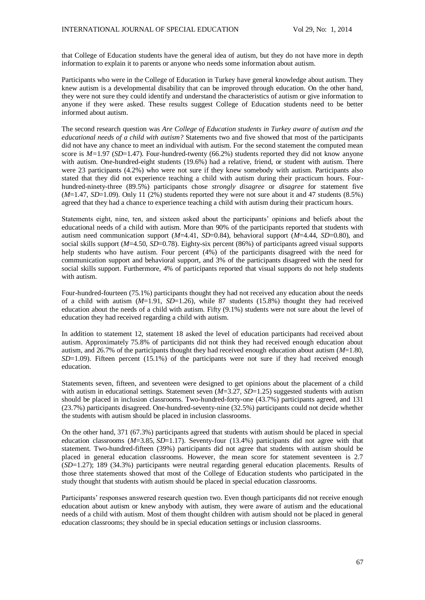that College of Education students have the general idea of autism, but they do not have more in depth information to explain it to parents or anyone who needs some information about autism.

Participants who were in the College of Education in Turkey have general knowledge about autism. They knew autism is a developmental disability that can be improved through education. On the other hand, they were not sure they could identify and understand the characteristics of autism or give information to anyone if they were asked. These results suggest College of Education students need to be better informed about autism.

The second research question was *Are College of Education students in Turkey aware of autism and the educational needs of a child with autism?* Statements two and five showed that most of the participants did not have any chance to meet an individual with autism. For the second statement the computed mean score is *M=*1.97 (*SD*=1.47). Four-hundred-twenty (66.2%) students reported they did not know anyone with autism. One-hundred-eight students (19.6%) had a relative, friend, or student with autism. There were 23 participants (4.2%) who were not sure if they knew somebody with autism. Participants also stated that they did not experience teaching a child with autism during their practicum hours. Fourhundred-ninety-three (89.5%) participants chose *strongly disagree* or *disagree* for statement five (*M*=1.47, *SD*=1.09). Only 11 (2%) students reported they were not sure about it and 47 students (8.5%) agreed that they had a chance to experience teaching a child with autism during their practicum hours.

Statements eight, nine, ten, and sixteen asked about the participants' opinions and beliefs about the educational needs of a child with autism. More than 90% of the participants reported that students with autism need communication support (*M*=4.41, *SD*=0.84), behavioral support (*M*=4.44, *SD*=0.80), and social skills support (*M*=4.50, *SD*=0.78). Eighty-six percent (86%) of participants agreed visual supports help students who have autism. Four percent (4%) of the participants disagreed with the need for communication support and behavioral support, and 3% of the participants disagreed with the need for social skills support. Furthermore, 4% of participants reported that visual supports do not help students with autism.

Four-hundred-fourteen (75.1%) participants thought they had not received any education about the needs of a child with autism (*M*=1.91, *SD*=1.26), while 87 students (15.8%) thought they had received education about the needs of a child with autism. Fifty (9.1%) students were not sure about the level of education they had received regarding a child with autism.

In addition to statement 12, statement 18 asked the level of education participants had received about autism. Approximately 75.8% of participants did not think they had received enough education about autism, and 26.7% of the participants thought they had received enough education about autism (*M*=1.80, *SD*=1.09). Fifteen percent (15.1%) of the participants were not sure if they had received enough education.

Statements seven, fifteen, and seventeen were designed to get opinions about the placement of a child with autism in educational settings. Statement seven ( $M=3.27$ ,  $SD=1.25$ ) suggested students with autism should be placed in inclusion classrooms. Two-hundred-forty-one (43.7%) participants agreed, and 131 (23.7%) participants disagreed. One-hundred-seventy-nine (32.5%) participants could not decide whether the students with autism should be placed in inclusion classrooms.

On the other hand, 371 (67.3%) participants agreed that students with autism should be placed in special education classrooms ( $M=3.85$ ,  $SD=1.17$ ). Seventy-four (13.4%) participants did not agree with that statement. Two-hundred-fifteen (39%) participants did not agree that students with autism should be placed in general education classrooms. However, the mean score for statement seventeen is 2.7 (*SD*=1.27); 189 (34.3%) participants were neutral regarding general education placements. Results of those three statements showed that most of the College of Education students who participated in the study thought that students with autism should be placed in special education classrooms.

Participants' responses answered research question two. Even though participants did not receive enough education about autism or knew anybody with autism, they were aware of autism and the educational needs of a child with autism. Most of them thought children with autism should not be placed in general education classrooms; they should be in special education settings or inclusion classrooms.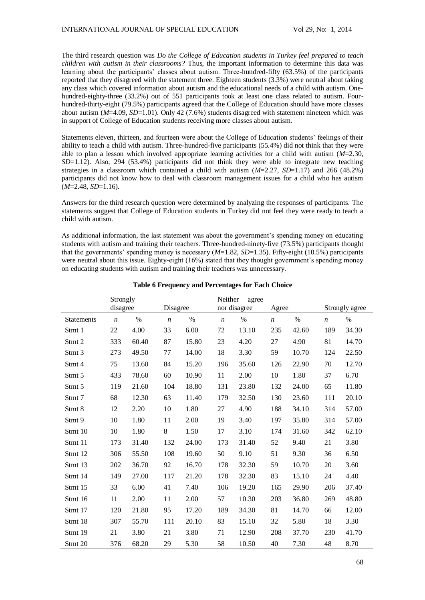The third research question was *Do the College of Education students in Turkey feel prepared to teach children with autism in their classrooms?* Thus, the important information to determine this data was learning about the participants' classes about autism. Three-hundred-fifty (63.5%) of the participants reported that they disagreed with the statement three. Eighteen students (3.3%) were neutral about taking any class which covered information about autism and the educational needs of a child with autism. Onehundred-eighty-three (33.2%) out of 551 participants took at least one class related to autism. Fourhundred-thirty-eight (79.5%) participants agreed that the College of Education should have more classes about autism (*M*=4.09, *SD*=1.01). Only 42 (7.6%) students disagreed with statement nineteen which was in support of College of Education students receiving more classes about autism.

Statements eleven, thirteen, and fourteen were about the College of Education students' feelings of their ability to teach a child with autism. Three-hundred-five participants (55.4%) did not think that they were able to plan a lesson which involved appropriate learning activities for a child with autism (*M*=2.30, *SD*=1.12). Also, 294 (53.4%) participants did not think they were able to integrate new teaching strategies in a classroom which contained a child with autism (*M*=2.27, *SD*=1.17) and 266 (48.2%) participants did not know how to deal with classroom management issues for a child who has autism (*M*=2.48, *SD*=1.16).

Answers for the third research question were determined by analyzing the responses of participants. The statements suggest that College of Education students in Turkey did not feel they were ready to teach a child with autism.

As additional information, the last statement was about the government's spending money on educating students with autism and training their teachers. Three-hundred-ninety-five (73.5%) participants thought that the governments' spending money is necessary (*M*=1.82, *SD*=1.35). Fifty-eight (10.5%) participants were neutral about this issue. Eighty-eight (16%) stated that they thought government's spending money on educating students with autism and training their teachers was unnecessary.

|                   | Strongly<br>disagree |       | Disagree         |       |                  | Neither<br>agree<br>nor disagree |                  | Agree |                  | Strongly agree |  |
|-------------------|----------------------|-------|------------------|-------|------------------|----------------------------------|------------------|-------|------------------|----------------|--|
| <b>Statements</b> | $\boldsymbol{n}$     | %     | $\boldsymbol{n}$ | $\%$  | $\boldsymbol{n}$ | %                                | $\boldsymbol{n}$ | %     | $\boldsymbol{n}$ | $\%$           |  |
| Stmt 1            | 22                   | 4.00  | 33               | 6.00  | 72               | 13.10                            | 235              | 42.60 | 189              | 34.30          |  |
| Stmt 2            | 333                  | 60.40 | 87               | 15.80 | 23               | 4.20                             | 27               | 4.90  | 81               | 14.70          |  |
| Stmt 3            | 273                  | 49.50 | 77               | 14.00 | 18               | 3.30                             | 59               | 10.70 | 124              | 22.50          |  |
| Stmt 4            | 75                   | 13.60 | 84               | 15.20 | 196              | 35.60                            | 126              | 22.90 | 70               | 12.70          |  |
| Stmt 5            | 433                  | 78.60 | 60               | 10.90 | 11               | 2.00                             | 10               | 1.80  | 37               | 6.70           |  |
| Stmt 5            | 119                  | 21.60 | 104              | 18.80 | 131              | 23.80                            | 132              | 24.00 | 65               | 11.80          |  |
| Stmt <sub>7</sub> | 68                   | 12.30 | 63               | 11.40 | 179              | 32.50                            | 130              | 23.60 | 111              | 20.10          |  |
| Stmt 8            | 12                   | 2.20  | 10               | 1.80  | 27               | 4.90                             | 188              | 34.10 | 314              | 57.00          |  |
| Stmt 9            | 10                   | 1.80  | 11               | 2.00  | 19               | 3.40                             | 197              | 35.80 | 314              | 57.00          |  |
| Stmt 10           | 10                   | 1.80  | $8\,$            | 1.50  | 17               | 3.10                             | 174              | 31.60 | 342              | 62.10          |  |
| Stmt 11           | 173                  | 31.40 | 132              | 24.00 | 173              | 31.40                            | 52               | 9.40  | 21               | 3.80           |  |
| Stmt 12           | 306                  | 55.50 | 108              | 19.60 | 50               | 9.10                             | 51               | 9.30  | 36               | 6.50           |  |
| Stmt 13           | 202                  | 36.70 | 92               | 16.70 | 178              | 32.30                            | 59               | 10.70 | 20               | 3.60           |  |
| Stmt 14           | 149                  | 27.00 | 117              | 21.20 | 178              | 32.30                            | 83               | 15.10 | 24               | 4.40           |  |
| Stmt 15           | 33                   | 6.00  | 41               | 7.40  | 106              | 19.20                            | 165              | 29.90 | 206              | 37.40          |  |
| Stmt 16           | 11                   | 2.00  | 11               | 2.00  | 57               | 10.30                            | 203              | 36.80 | 269              | 48.80          |  |
| Stmt 17           | 120                  | 21.80 | 95               | 17.20 | 189              | 34.30                            | 81               | 14.70 | 66               | 12.00          |  |
| Stmt 18           | 307                  | 55.70 | 111              | 20.10 | 83               | 15.10                            | 32               | 5.80  | 18               | 3.30           |  |
| Stmt 19           | 21                   | 3.80  | 21               | 3.80  | 71               | 12.90                            | 208              | 37.70 | 230              | 41.70          |  |
| Stmt 20           | 376                  | 68.20 | 29               | 5.30  | 58               | 10.50                            | 40               | 7.30  | 48               | 8.70           |  |

**Table 6 Frequency and Percentages for Each Choice**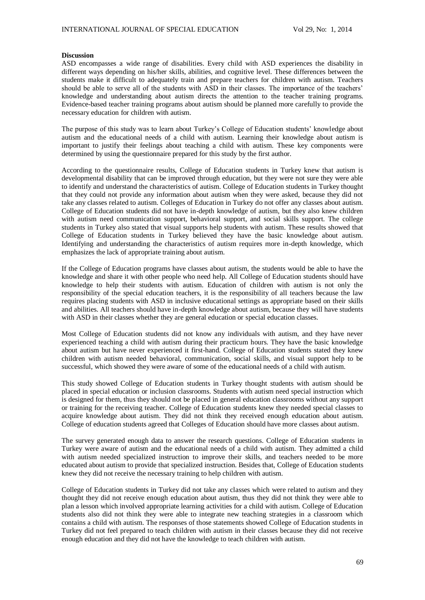## **Discussion**

ASD encompasses a wide range of disabilities. Every child with ASD experiences the disability in different ways depending on his/her skills, abilities, and cognitive level. These differences between the students make it difficult to adequately train and prepare teachers for children with autism. Teachers should be able to serve all of the students with ASD in their classes. The importance of the teachers' knowledge and understanding about autism directs the attention to the teacher training programs. Evidence-based teacher training programs about autism should be planned more carefully to provide the necessary education for children with autism.

The purpose of this study was to learn about Turkey's College of Education students' knowledge about autism and the educational needs of a child with autism. Learning their knowledge about autism is important to justify their feelings about teaching a child with autism. These key components were determined by using the questionnaire prepared for this study by the first author.

According to the questionnaire results, College of Education students in Turkey knew that autism is developmental disability that can be improved through education, but they were not sure they were able to identify and understand the characteristics of autism. College of Education students in Turkey thought that they could not provide any information about autism when they were asked, because they did not take any classes related to autism. Colleges of Education in Turkey do not offer any classes about autism. College of Education students did not have in-depth knowledge of autism, but they also knew children with autism need communication support, behavioral support, and social skills support. The college students in Turkey also stated that visual supports help students with autism. These results showed that College of Education students in Turkey believed they have the basic knowledge about autism. Identifying and understanding the characteristics of autism requires more in-depth knowledge, which emphasizes the lack of appropriate training about autism.

If the College of Education programs have classes about autism, the students would be able to have the knowledge and share it with other people who need help. All College of Education students should have knowledge to help their students with autism. Education of children with autism is not only the responsibility of the special education teachers, it is the responsibility of all teachers because the law requires placing students with ASD in inclusive educational settings as appropriate based on their skills and abilities. All teachers should have in-depth knowledge about autism, because they will have students with ASD in their classes whether they are general education or special education classes.

Most College of Education students did not know any individuals with autism, and they have never experienced teaching a child with autism during their practicum hours. They have the basic knowledge about autism but have never experienced it first-hand. College of Education students stated they knew children with autism needed behavioral, communication, social skills, and visual support help to be successful, which showed they were aware of some of the educational needs of a child with autism.

This study showed College of Education students in Turkey thought students with autism should be placed in special education or inclusion classrooms. Students with autism need special instruction which is designed for them, thus they should not be placed in general education classrooms without any support or training for the receiving teacher. College of Education students knew they needed special classes to acquire knowledge about autism. They did not think they received enough education about autism. College of education students agreed that Colleges of Education should have more classes about autism.

The survey generated enough data to answer the research questions. College of Education students in Turkey were aware of autism and the educational needs of a child with autism. They admitted a child with autism needed specialized instruction to improve their skills, and teachers needed to be more educated about autism to provide that specialized instruction. Besides that, College of Education students knew they did not receive the necessary training to help children with autism.

College of Education students in Turkey did not take any classes which were related to autism and they thought they did not receive enough education about autism, thus they did not think they were able to plan a lesson which involved appropriate learning activities for a child with autism. College of Education students also did not think they were able to integrate new teaching strategies in a classroom which contains a child with autism. The responses of those statements showed College of Education students in Turkey did not feel prepared to teach children with autism in their classes because they did not receive enough education and they did not have the knowledge to teach children with autism.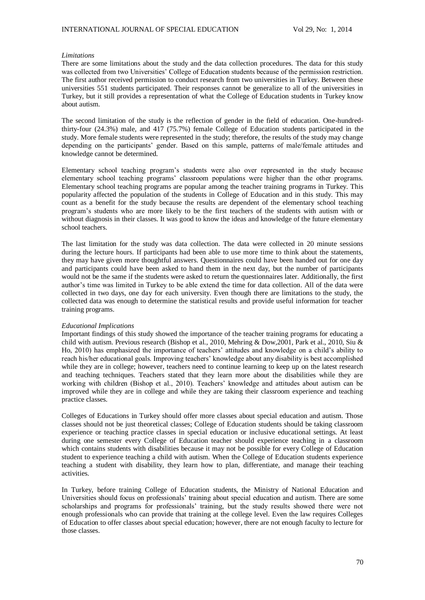## *Limitations*

There are some limitations about the study and the data collection procedures. The data for this study was collected from two Universities' College of Education students because of the permission restriction. The first author received permission to conduct research from two universities in Turkey. Between these universities 551 students participated. Their responses cannot be generalize to all of the universities in Turkey, but it still provides a representation of what the College of Education students in Turkey know about autism.

The second limitation of the study is the reflection of gender in the field of education. One-hundredthirty-four (24.3%) male, and 417 (75.7%) female College of Education students participated in the study. More female students were represented in the study; therefore, the results of the study may change depending on the participants' gender. Based on this sample, patterns of male/female attitudes and knowledge cannot be determined.

Elementary school teaching program's students were also over represented in the study because elementary school teaching programs' classroom populations were higher than the other programs. Elementary school teaching programs are popular among the teacher training programs in Turkey. This popularity affected the population of the students in College of Education and in this study. This may count as a benefit for the study because the results are dependent of the elementary school teaching program's students who are more likely to be the first teachers of the students with autism with or without diagnosis in their classes. It was good to know the ideas and knowledge of the future elementary school teachers.

The last limitation for the study was data collection. The data were collected in 20 minute sessions during the lecture hours. If participants had been able to use more time to think about the statements, they may have given more thoughtful answers. Questionnaires could have been handed out for one day and participants could have been asked to hand them in the next day, but the number of participants would not be the same if the students were asked to return the questionnaires later. Additionally, the first author's time was limited in Turkey to be able extend the time for data collection. All of the data were collected in two days, one day for each university. Even though there are limitations to the study, the collected data was enough to determine the statistical results and provide useful information for teacher training programs.

## *Educational Implications*

Important findings of this study showed the importance of the teacher training programs for educating a child with autism. Previous research (Bishop et al., 2010, Mehring & Dow,2001, Park et al., 2010, Siu & Ho, 2010) has emphasized the importance of teachers' attitudes and knowledge on a child's ability to reach his/her educational goals. Improving teachers' knowledge about any disability is best accomplished while they are in college; however, teachers need to continue learning to keep up on the latest research and teaching techniques. Teachers stated that they learn more about the disabilities while they are working with children (Bishop et al., 2010). Teachers' knowledge and attitudes about autism can be improved while they are in college and while they are taking their classroom experience and teaching practice classes.

Colleges of Educations in Turkey should offer more classes about special education and autism. Those classes should not be just theoretical classes; College of Education students should be taking classroom experience or teaching practice classes in special education or inclusive educational settings. At least during one semester every College of Education teacher should experience teaching in a classroom which contains students with disabilities because it may not be possible for every College of Education student to experience teaching a child with autism. When the College of Education students experience teaching a student with disability, they learn how to plan, differentiate, and manage their teaching activities.

In Turkey, before training College of Education students, the Ministry of National Education and Universities should focus on professionals' training about special education and autism. There are some scholarships and programs for professionals' training, but the study results showed there were not enough professionals who can provide that training at the college level. Even the law requires Colleges of Education to offer classes about special education; however, there are not enough faculty to lecture for those classes.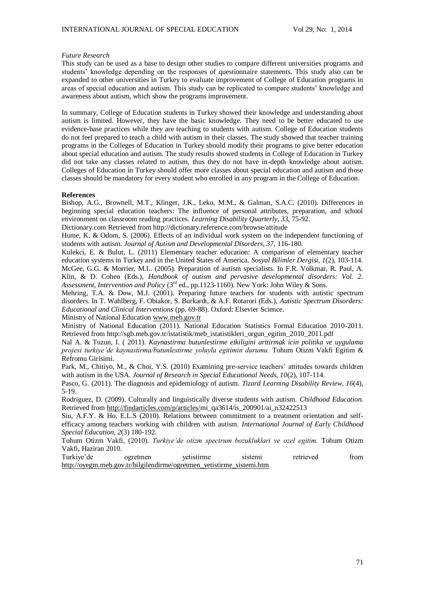## *Future Research*

This study can be used as a base to design other studies to compare different universities programs and students' knowledge depending on the responses of questionnaire statements. This study also can be expanded to other universities in Turkey to evaluate improvement of College of Education programs in areas of special education and autism. This study can be replicated to compare students' knowledge and awareness about autism, which show the programs improvement.

In summary, College of Education students in Turkey showed their knowledge and understanding about autism is limited. However, they have the basic knowledge. They need to be better educated to use evidence-base practices while they are teaching to students with autism. College of Education students do not feel prepared to teach a child with autism in their classes. The study showed that teacher training programs in the Colleges of Education in Turkey should modify their programs to give better education about special education and autism. The study results showed students in College of Education in Turkey did not take any classes related to autism, thus they do not have in-depth knowledge about autism. Colleges of Education in Turkey should offer more classes about special education and autism and those classes should be mandatory for every student who enrolled in any program in the College of Education.

## **References**

Bishop, A.G., Brownell, M.T., Klinger, J.K., Leko, M.M., & Galman, S.A.C. (2010). Differences in beginning special education teachers: The influence of personal attributes, preparation, and school environment on classroom reading practices. *Learning Disability Quarterly, 33*, 75-92.

Dictionary.com Retrieved from http://dictionary.reference.com/browse/attitude

Hume, K. & Odom, S. (2006). Effects of an individual work system on the independent functioning of students with autism. *Journal of Autism and Developmental Disorders, 37,* 116-180.

Kulekci, E. & Bulut, L. (2011) Elementary teacher education: A comparison of elementary teacher education systems in Turkey and in the United States of America. *Sosyal Bilimler Dergisi, 1*(2), 103-114. McGee, G.G. & Morrier, M.I.. (2005). Preparation of autism specialists. In F.R. Volkmar, R. Paul, A. Klin, & D. Cohen (Eds.), *Handbook of autism and pervasive developmental disorders: Vol. 2.*  Assessment, Intervention and Policy (3<sup>rd</sup> ed., pp.1123-1160). New York: John Wiley & Sons.

Mehring, T.A. & Dow, M.J. (2001). Preparing future teachers for students with autistic spectrum disorders. In T. Wahlberg, F. Obiakor, S. Burkardt, & A.F. Rotarori (Eds.), *Autistic Spectrum Disorders: Educational and Clinical Interventions* (pp. 69-88). Oxford: Elsevier Science.

Ministry of National Education [www.meb.gov.tr](http://www.meb.gov.tr/)

Ministry of National Education (2011). National Education Statistics Formal Education 2010-2011. Retrieved from http://sgb.meb.gov.tr/istatistik/meb\_istatistikleri\_orgun\_egitim\_2010\_2011.pdf

Nal A. & Tuzun, I. ( 2011). *Kaynastirma butunlestirme etkiligini arttirmak icin politika ve uygulama projesi turkiye'de kaynastirma/butunlestirme yoluyla egitimin durumu.* Tohum Otizm Vakfi Egitim & Refromu Girisimi.

Park, M., Chitiyo, M., & Choi, Y.S. (2010) Examining pre-service teachers' attitudes towards children with autism in the USA. *Journal of Research in Special Educational Needs, 10*(2), 107-114.

Pasco, G. (2011). The diagnosis and epidemiology of autism. *Tizard Learning Disability Review, 16*(4), 5-19.

Rodriguez, D. (2009). Culturally and linguistically diverse students with autism. *Childhood Education.*  Retrieved fro[m http://findarticles.com/p/articles/m](http://findarticles.com/p/articles/)i\_qa3614/is\_200901/ai\_n32422513

Siu, A.F.Y. & Ho, E.L.S (2010). Relations between commitment to a treatment orientation and selfefficacy among teachers working with children with autism. *International Journal of Early Childhood Special Education, 2*(3) 180-192.

Tohum Otizm Vakfi, (2010). *Turkiye'de otizm spectrum bozukluklari ve ozel egitim.* Tohum Otizm Vakfi, Haziran 2010.

| Turkiye'de | ogretmen | vetistirme                                                            | sistemi | retrieved | trom |
|------------|----------|-----------------------------------------------------------------------|---------|-----------|------|
|            |          | http://ovegm.meb.gov.tr/bilgilendirme/ogretmen vetistirme sistemi.htm |         |           |      |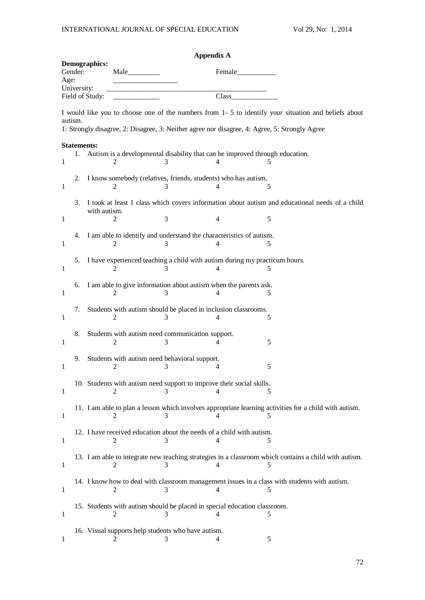|                                                                           |                          |              |                |                                                         | <b>Appendix A</b>                                                                 |                                                                                                                                                                                                       |
|---------------------------------------------------------------------------|--------------------------|--------------|----------------|---------------------------------------------------------|-----------------------------------------------------------------------------------|-------------------------------------------------------------------------------------------------------------------------------------------------------------------------------------------------------|
| <b>Demographics:</b><br>Gender:<br>Age:<br>University:<br>Field of Study: |                          |              |                |                                                         |                                                                                   |                                                                                                                                                                                                       |
|                                                                           |                          |              |                |                                                         | Class                                                                             |                                                                                                                                                                                                       |
| autism.                                                                   |                          |              |                |                                                         |                                                                                   | I would like you to choose one of the numbers from 1- 5 to identify your situation and beliefs about<br>1: Strongly disagree, 2: Disagree, 3: Neither agree nor disagree, 4: Agree, 5: Strongly Agree |
| 1                                                                         | <b>Statements:</b><br>1. |              | 2              | 3                                                       | Autism is a developmental disability that can be improved through education.<br>4 | 5                                                                                                                                                                                                     |
| 1                                                                         | 2.                       |              | 2              | 3                                                       | I know somebody (relatives, friends, students) who has autism.<br>4               | 5                                                                                                                                                                                                     |
| 1                                                                         | 3.                       | with autism. | 2              | 3                                                       | 4                                                                                 | I took at least 1 class which covers information about autism and educational needs of a child<br>5                                                                                                   |
| 1                                                                         | 4.                       |              | 2              | 3                                                       | I am able to identify and understand the characteristics of autism.<br>4          | 5                                                                                                                                                                                                     |
| 1                                                                         | 5.                       |              | 2              |                                                         | I have experienced teaching a child with autism during my practicum hours.<br>4   | 5                                                                                                                                                                                                     |
| 1                                                                         | 6.                       |              | 2              | 3                                                       | I am able to give information about autism when the parents ask.<br>4             | 5                                                                                                                                                                                                     |
| 1                                                                         | 7.                       |              | 2              | 3                                                       | Students with autism should be placed in inclusion classrooms.<br>4               | 5                                                                                                                                                                                                     |
| 1                                                                         | 8.                       |              | 2              | Students with autism need communication support.<br>3   | 4                                                                                 | 5                                                                                                                                                                                                     |
| 1                                                                         | 9.                       |              | 2              | Students with autism need behavioral support.<br>3      | 4                                                                                 | 5                                                                                                                                                                                                     |
| 1                                                                         |                          |              | 2              |                                                         | 10. Students with autism need support to improve their social skills.             | 5                                                                                                                                                                                                     |
| 1                                                                         |                          |              | 2              | 3                                                       | 4                                                                                 | 11. I am able to plan a lesson which involves appropriate learning activities for a child with autism.<br>5                                                                                           |
| 1                                                                         |                          |              | 2              | 3                                                       | 12. I have received education about the needs of a child with autism.<br>4        | 5                                                                                                                                                                                                     |
| $\mathbf{1}$                                                              |                          |              | 2              | 3                                                       | 4                                                                                 | 13. I am able to integrate new teaching strategies in a classroom which contains a child with autism.<br>5                                                                                            |
| 1                                                                         |                          |              | 2              | 3                                                       | 4                                                                                 | 14. I know how to deal with classroom management issues in a class with students with autism.<br>5                                                                                                    |
| 1                                                                         |                          |              | 2              | 3                                                       | 15. Students with autism should be placed in special education classroom.<br>4    | 5                                                                                                                                                                                                     |
| 1                                                                         |                          |              | $\overline{2}$ | 16. Visual supports help students who have autism.<br>3 | 4                                                                                 | 5                                                                                                                                                                                                     |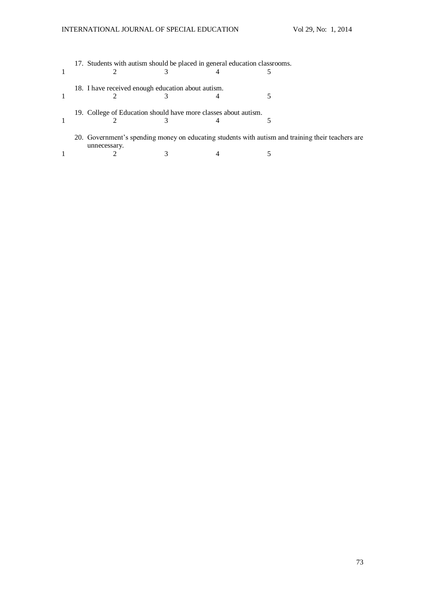| 17. Students with autism should be placed in general education classrooms.                                        |   |  |
|-------------------------------------------------------------------------------------------------------------------|---|--|
| 18. I have received enough education about autism.                                                                |   |  |
|                                                                                                                   |   |  |
| 19. College of Education should have more classes about autism.                                                   |   |  |
|                                                                                                                   | 4 |  |
| 20. Government's spending money on educating students with autism and training their teachers are<br>unnecessary. |   |  |
|                                                                                                                   |   |  |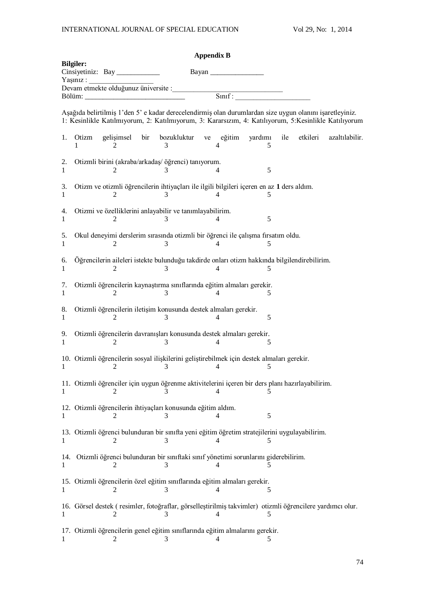|          |                  |            |     |                                                                                                                                                                                                                  | <b>Appendix B</b> |                |              |     |          |                |
|----------|------------------|------------|-----|------------------------------------------------------------------------------------------------------------------------------------------------------------------------------------------------------------------|-------------------|----------------|--------------|-----|----------|----------------|
|          | <b>Bilgiler:</b> |            |     |                                                                                                                                                                                                                  |                   | Bayan          |              |     |          |                |
|          | Yaşınız :        |            |     |                                                                                                                                                                                                                  |                   |                |              |     |          |                |
|          |                  |            |     |                                                                                                                                                                                                                  |                   |                |              |     |          |                |
|          |                  |            |     | Aşağıda belirtilmiş 1'den 5' e kadar derecelendirmiş olan durumlardan size uygun olanını işaretleyiniz.<br>1: Kesinlikle Katılmıyorum, 2: Katılmıyorum, 3: Kararsızım, 4: Katılıyorum, 5: Kesinlikle Katılıyorum |                   |                |              |     |          |                |
| 1.       | Otizm            | gelişimsel | bir | bozukluktur<br>3                                                                                                                                                                                                 |                   | ve eğitim<br>4 | yardımı<br>5 | ile | etkileri | azaltılabilir. |
| 2.<br>1  |                  | 2          |     | Otizmli birini (akraba/arkadaş/ öğrenci) tanıyorum.<br>3                                                                                                                                                         |                   | 4              | 5            |     |          |                |
| 3.<br>1  |                  | 2          |     | Otizm ve otizmli öğrencilerin ihtiyaçları ile ilgili bilgileri içeren en az 1 ders aldım.<br>3                                                                                                                   |                   | 4              | 5            |     |          |                |
| 4.<br>1  |                  | 2          |     | Otizmi ve özelliklerini anlayabilir ve tanımlayabilirim.<br>3                                                                                                                                                    |                   |                | 5            |     |          |                |
| 5.<br>1  |                  | 2          |     | Okul deneyimi derslerim sırasında otizmli bir öğrenci ile çalışma firsatım oldu.<br>3                                                                                                                            |                   | 4              | 5            |     |          |                |
| 6.<br>1  |                  | 2          |     | Öğrencilerin aileleri istekte bulunduğu takdirde onları otizm hakkında bilgilendirebilirim.                                                                                                                      |                   | 4              | 5            |     |          |                |
| 7.<br>1  |                  | 2          |     | Otizmli öğrencilerin kaynaştırma sınıflarında eğitim almaları gerekir.<br>3                                                                                                                                      |                   | 4              | 5            |     |          |                |
| 8.<br>1  |                  | 2          |     | Otizmli öğrencilerin iletişim konusunda destek almaları gerekir.<br>3                                                                                                                                            |                   | 4              | 5            |     |          |                |
| 9.<br>1  |                  | 2          |     | Otizmli öğrencilerin davranışları konusunda destek almaları gerekir.<br>3                                                                                                                                        |                   | 4              | 5            |     |          |                |
| 1        |                  | 2          |     | 10. Otizmli öğrencilerin sosyal ilişkilerini geliştirebilmek için destek almaları gerekir.<br>3                                                                                                                  |                   | 4              | 5            |     |          |                |
| 1        |                  | 2          |     | 11. Otizmli öğrenciler için uygun öğrenme aktivitelerini içeren bir ders planı hazırlayabilirim.                                                                                                                 |                   |                |              |     |          |                |
| 1        |                  |            |     | 12. Otizmli öğrencilerin ihtiyaçları konusunda eğitim aldım.                                                                                                                                                     |                   |                | 5            |     |          |                |
| 1        |                  |            |     | 13. Otizmli öğrenci bulunduran bir sınıfta yeni eğitim öğretim stratejilerini uygulayabilirim.<br>3                                                                                                              |                   |                |              |     |          |                |
| 14.<br>1 |                  |            |     | Otizmli öğrenci bulunduran bir sınıftaki sınıf yönetimi sorunlarını giderebilirim.<br>3                                                                                                                          |                   | 4              |              |     |          |                |
| 1        |                  | 2          |     | 15. Otizmli öğrencilerin özel eğitim sınıflarında eğitim almaları gerekir.<br>3                                                                                                                                  |                   | 4              | 5            |     |          |                |
|          |                  |            |     | 16. Görsel destek (resimler, fotoğraflar, görselleştirilmiş takvimler) otizmli öğrencilere yardımcı olur.                                                                                                        |                   | 4              | 5            |     |          |                |
|          |                  |            |     | 17. Otizmli öğrencilerin genel eğitim sınıflarında eğitim almalarını gerekir.<br>3                                                                                                                               |                   |                |              |     |          |                |